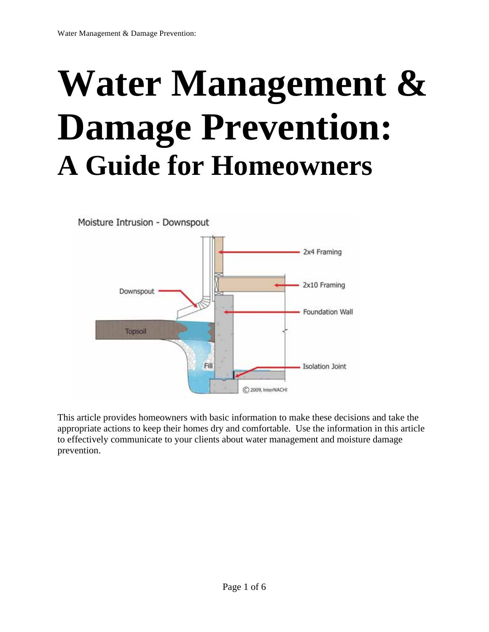# **Water Management & Damage Prevention: A Guide for Homeowners**



This article provides homeowners with basic information to make these decisions and take the appropriate actions to keep their homes dry and comfortable. Use the information in this article to effectively communicate to your clients about water management and moisture damage prevention.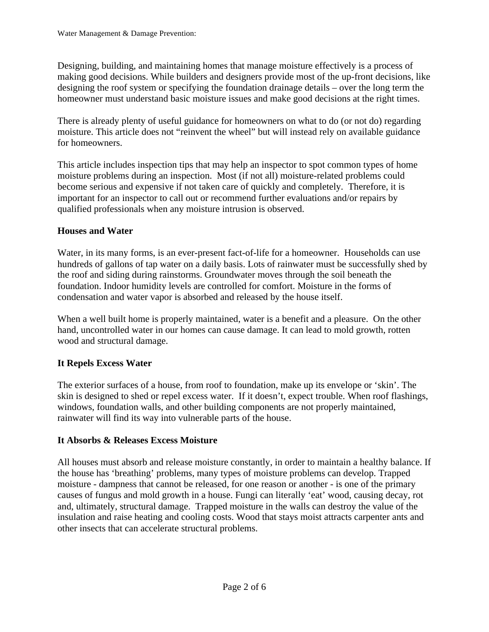Designing, building, and maintaining homes that manage moisture effectively is a process of making good decisions. While builders and designers provide most of the up-front decisions, like designing the roof system or specifying the foundation drainage details – over the long term the homeowner must understand basic moisture issues and make good decisions at the right times.

There is already plenty of useful guidance for homeowners on what to do (or not do) regarding moisture. This article does not "reinvent the wheel" but will instead rely on available guidance for homeowners.

This article includes inspection tips that may help an inspector to spot common types of home moisture problems during an inspection. Most (if not all) moisture-related problems could become serious and expensive if not taken care of quickly and completely. Therefore, it is important for an inspector to call out or recommend further evaluations and/or repairs by qualified professionals when any moisture intrusion is observed.

## **Houses and Water**

Water, in its many forms, is an ever-present fact-of-life for a homeowner. Households can use hundreds of gallons of tap water on a daily basis. Lots of rainwater must be successfully shed by the roof and siding during rainstorms. Groundwater moves through the soil beneath the foundation. Indoor humidity levels are controlled for comfort. Moisture in the forms of condensation and water vapor is absorbed and released by the house itself.

When a well built home is properly maintained, water is a benefit and a pleasure. On the other hand, uncontrolled water in our homes can cause damage. It can lead to mold growth, rotten wood and structural damage.

# **It Repels Excess Water**

The exterior surfaces of a house, from roof to foundation, make up its envelope or 'skin'. The skin is designed to shed or repel excess water. If it doesn't, expect trouble. When roof flashings, windows, foundation walls, and other building components are not properly maintained, rainwater will find its way into vulnerable parts of the house.

#### **It Absorbs & Releases Excess Moisture**

All houses must absorb and release moisture constantly, in order to maintain a healthy balance. If the house has 'breathing' problems, many types of moisture problems can develop. Trapped moisture - dampness that cannot be released, for one reason or another - is one of the primary causes of fungus and mold growth in a house. Fungi can literally 'eat' wood, causing decay, rot and, ultimately, structural damage. Trapped moisture in the walls can destroy the value of the insulation and raise heating and cooling costs. Wood that stays moist attracts carpenter ants and other insects that can accelerate structural problems.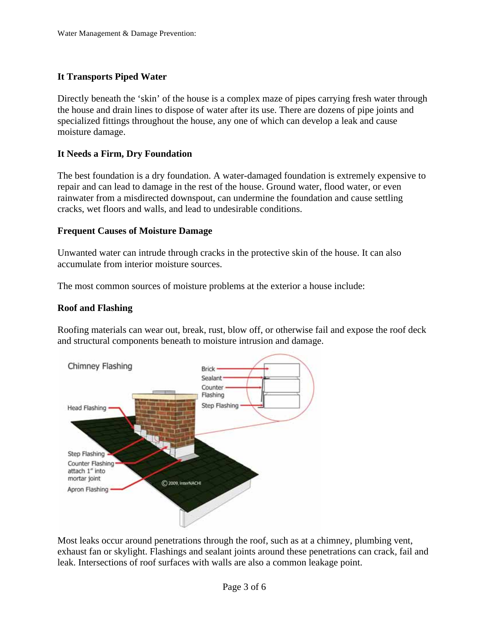#### **It Transports Piped Water**

Directly beneath the 'skin' of the house is a complex maze of pipes carrying fresh water through the house and drain lines to dispose of water after its use. There are dozens of pipe joints and specialized fittings throughout the house, any one of which can develop a leak and cause moisture damage.

#### **It Needs a Firm, Dry Foundation**

The best foundation is a dry foundation. A water-damaged foundation is extremely expensive to repair and can lead to damage in the rest of the house. Ground water, flood water, or even rainwater from a misdirected downspout, can undermine the foundation and cause settling cracks, wet floors and walls, and lead to undesirable conditions.

#### **Frequent Causes of Moisture Damage**

Unwanted water can intrude through cracks in the protective skin of the house. It can also accumulate from interior moisture sources.

The most common sources of moisture problems at the exterior a house include:

#### **Roof and Flashing**

Roofing materials can wear out, break, rust, blow off, or otherwise fail and expose the roof deck and structural components beneath to moisture intrusion and damage.



Most leaks occur around penetrations through the roof, such as at a chimney, plumbing vent, exhaust fan or skylight. Flashings and sealant joints around these penetrations can crack, fail and leak. Intersections of roof surfaces with walls are also a common leakage point.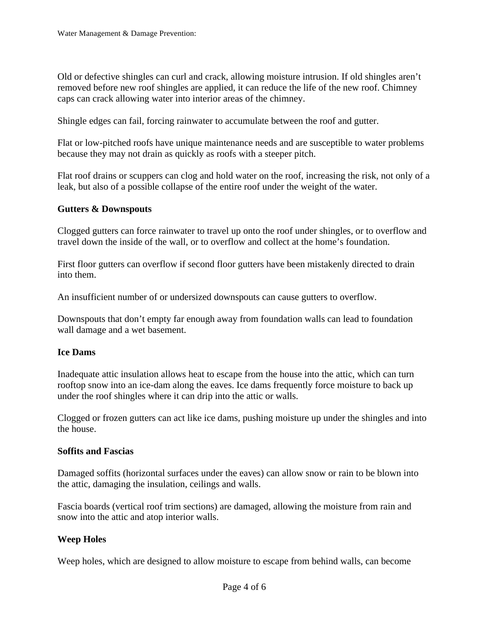Old or defective shingles can curl and crack, allowing moisture intrusion. If old shingles aren't removed before new roof shingles are applied, it can reduce the life of the new roof. Chimney caps can crack allowing water into interior areas of the chimney.

Shingle edges can fail, forcing rainwater to accumulate between the roof and gutter.

Flat or low-pitched roofs have unique maintenance needs and are susceptible to water problems because they may not drain as quickly as roofs with a steeper pitch.

Flat roof drains or scuppers can clog and hold water on the roof, increasing the risk, not only of a leak, but also of a possible collapse of the entire roof under the weight of the water.

## **Gutters & Downspouts**

Clogged gutters can force rainwater to travel up onto the roof under shingles, or to overflow and travel down the inside of the wall, or to overflow and collect at the home's foundation.

First floor gutters can overflow if second floor gutters have been mistakenly directed to drain into them.

An insufficient number of or undersized downspouts can cause gutters to overflow.

Downspouts that don't empty far enough away from foundation walls can lead to foundation wall damage and a wet basement.

#### **Ice Dams**

Inadequate attic insulation allows heat to escape from the house into the attic, which can turn rooftop snow into an ice-dam along the eaves. Ice dams frequently force moisture to back up under the roof shingles where it can drip into the attic or walls.

Clogged or frozen gutters can act like ice dams, pushing moisture up under the shingles and into the house.

#### **Soffits and Fascias**

Damaged soffits (horizontal surfaces under the eaves) can allow snow or rain to be blown into the attic, damaging the insulation, ceilings and walls.

Fascia boards (vertical roof trim sections) are damaged, allowing the moisture from rain and snow into the attic and atop interior walls.

# **Weep Holes**

Weep holes, which are designed to allow moisture to escape from behind walls, can become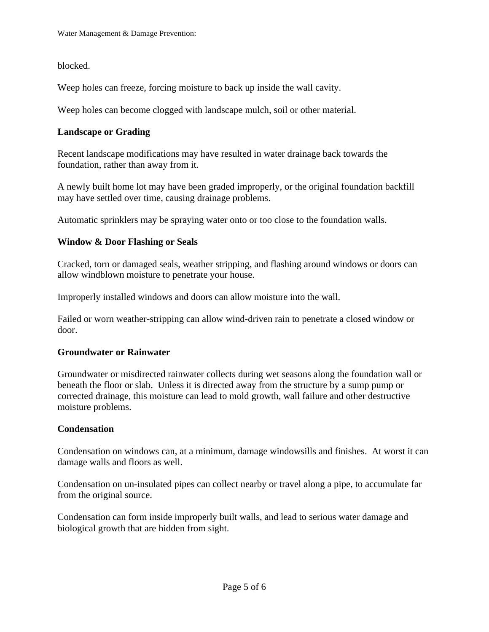blocked.

Weep holes can freeze, forcing moisture to back up inside the wall cavity.

Weep holes can become clogged with landscape mulch, soil or other material.

#### **Landscape or Grading**

Recent landscape modifications may have resulted in water drainage back towards the foundation, rather than away from it.

A newly built home lot may have been graded improperly, or the original foundation backfill may have settled over time, causing drainage problems.

Automatic sprinklers may be spraying water onto or too close to the foundation walls.

## **Window & Door Flashing or Seals**

Cracked, torn or damaged seals, weather stripping, and flashing around windows or doors can allow windblown moisture to penetrate your house.

Improperly installed windows and doors can allow moisture into the wall.

Failed or worn weather-stripping can allow wind-driven rain to penetrate a closed window or door.

#### **Groundwater or Rainwater**

Groundwater or misdirected rainwater collects during wet seasons along the foundation wall or beneath the floor or slab. Unless it is directed away from the structure by a sump pump or corrected drainage, this moisture can lead to mold growth, wall failure and other destructive moisture problems.

#### **Condensation**

Condensation on windows can, at a minimum, damage windowsills and finishes. At worst it can damage walls and floors as well.

Condensation on un-insulated pipes can collect nearby or travel along a pipe, to accumulate far from the original source.

Condensation can form inside improperly built walls, and lead to serious water damage and biological growth that are hidden from sight.